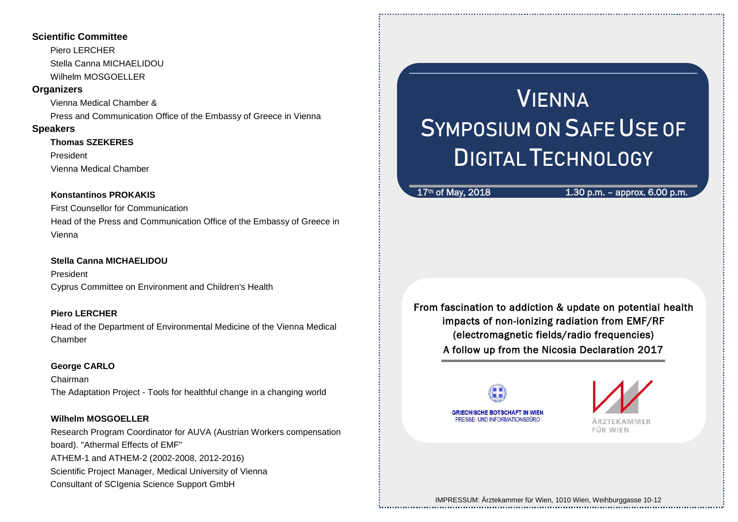#### **Scientific Committee**

Piero LERCHER Stella Canna MICHAELIDOU Wilhelm MOSGOELLER

#### **Organizers**

Vienna Medical Chamber & Press and Communication Office of the Embassy of Greece in Vienna

#### **Speakers**

#### **Thomas SZEKERES**

President

Vienna Medical Chamber

#### **Konstantinos PROKAKIS**

First Counsellor for Communication Head of the Press and Communication Office of the Embassy of Greece in Vienna

#### **Stella Canna MICHAELIDOU**

President Cyprus Committee on Environment and Children's Health

#### **Piero LERCHER**

Head of the Department of Environmental Medicine of the Vienna Medical Chamber

#### **George CARLO**

Chairman The Adaptation Project - Tools for healthful change in a changing world

#### **Wilhelm MOSGOELLER**

Research Program Coordinator for AUVA (Austrian Workers compensation board). "Athermal Effects of EMF" ATHEM-1 and ATHEM-2 (2002-2008, 2012-2016) Scientific Project Manager, Medical University of Vienna Consultant of SCIgenia Science Support GmbH

# VIENNA SYMPOSIUM ON SAFE USE OF DIGITAL TECHNOLOGY

#### $17<sup>th</sup>$  of May, 2018 1.30 p.m. – approx. 6.00 p.m.

From fascination to addiction & update on potential health impacts of non-ionizing radiation from EMF/RF (electromagnetic fields/radio frequencies) A follow up from the Nicosia Declaration 2017